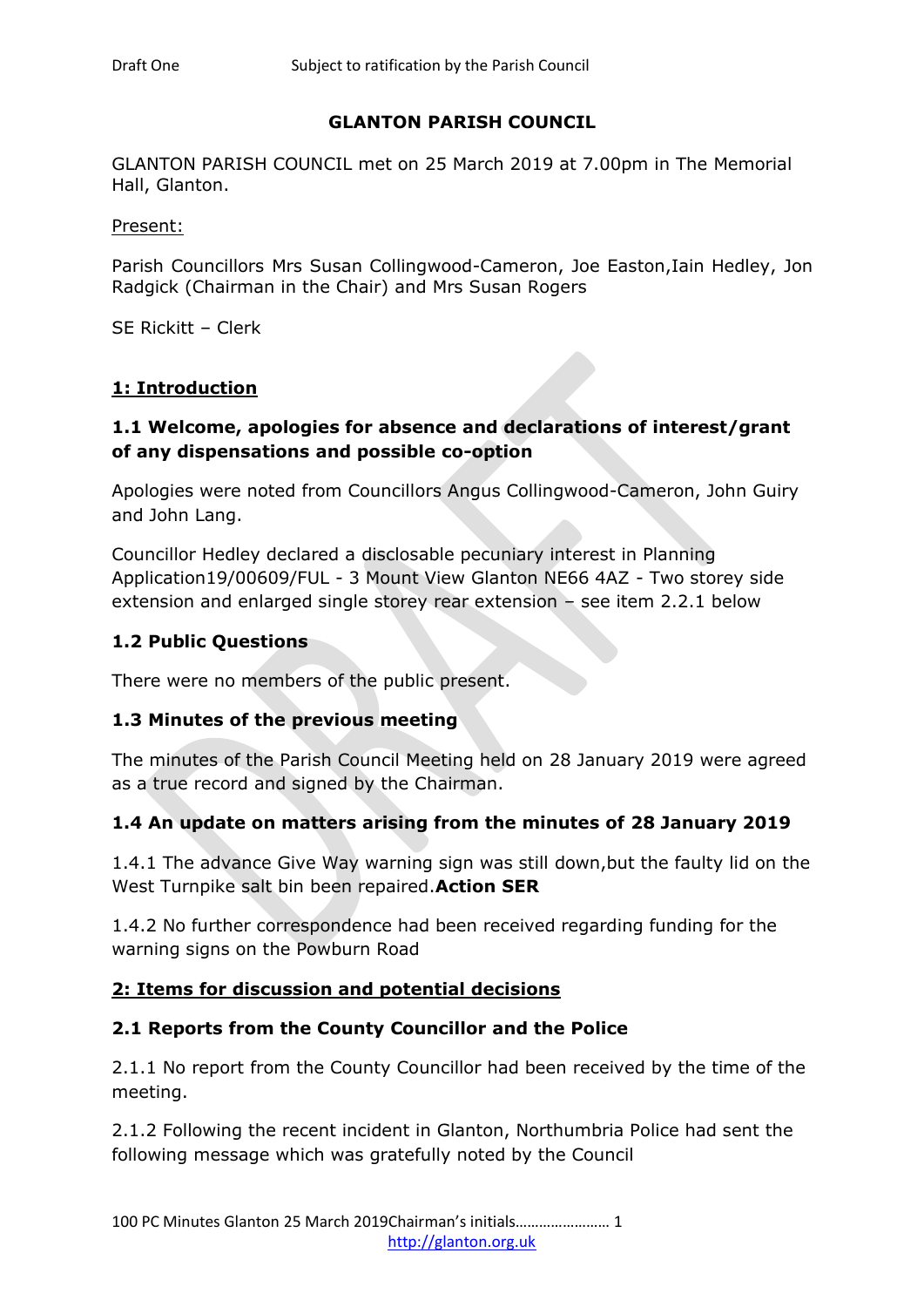### **GLANTON PARISH COUNCIL**

GLANTON PARISH COUNCIL met on 25 March 2019 at 7.00pm in The Memorial Hall, Glanton.

Present:

Parish Councillors Mrs Susan Collingwood-Cameron, Joe Easton,Iain Hedley, Jon Radgick (Chairman in the Chair) and Mrs Susan Rogers

SE Rickitt – Clerk

### **1: Introduction**

### **1.1 Welcome, apologies for absence and declarations of interest/grant of any dispensations and possible co-option**

Apologies were noted from Councillors Angus Collingwood-Cameron, John Guiry and John Lang.

Councillor Hedley declared a disclosable pecuniary interest in Planning Application19/00609/FUL - 3 Mount View Glanton NE66 4AZ - Two storey side extension and enlarged single storey rear extension – see item 2.2.1 below

### **1.2 Public Questions**

There were no members of the public present.

#### **1.3 Minutes of the previous meeting**

The minutes of the Parish Council Meeting held on 28 January 2019 were agreed as a true record and signed by the Chairman.

## **1.4 An update on matters arising from the minutes of 28 January 2019**

1.4.1 The advance Give Way warning sign was still down,but the faulty lid on the West Turnpike salt bin been repaired.**Action SER** 

1.4.2 No further correspondence had been received regarding funding for the warning signs on the Powburn Road

#### **2: Items for discussion and potential decisions**

#### **2.1 Reports from the County Councillor and the Police**

2.1.1 No report from the County Councillor had been received by the time of the meeting.

2.1.2 Following the recent incident in Glanton, Northumbria Police had sent the following message which was gratefully noted by the Council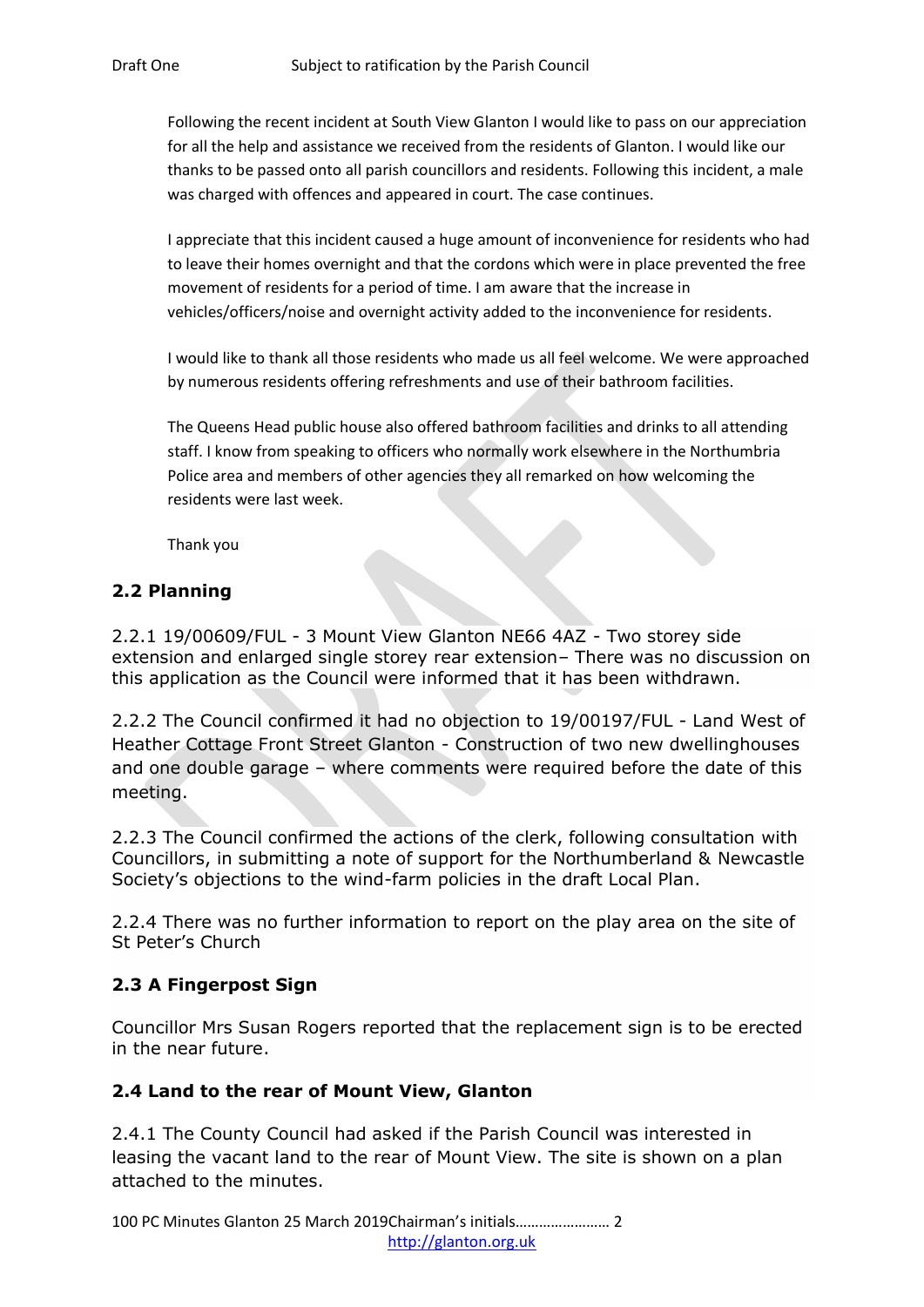Following the recent incident at South View Glanton I would like to pass on our appreciation for all the help and assistance we received from the residents of Glanton. I would like our thanks to be passed onto all parish councillors and residents. Following this incident, a male was charged with offences and appeared in court. The case continues.

I appreciate that this incident caused a huge amount of inconvenience for residents who had to leave their homes overnight and that the cordons which were in place prevented the free movement of residents for a period of time. I am aware that the increase in vehicles/officers/noise and overnight activity added to the inconvenience for residents.

I would like to thank all those residents who made us all feel welcome. We were approached by numerous residents offering refreshments and use of their bathroom facilities.

The Queens Head public house also offered bathroom facilities and drinks to all attending staff. I know from speaking to officers who normally work elsewhere in the Northumbria Police area and members of other agencies they all remarked on how welcoming the residents were last week.

Thank you

# **2.2 Planning**

2.2.1 19/00609/FUL - 3 Mount View Glanton NE66 4AZ - Two storey side extension and enlarged single storey rear extension– There was no discussion on this application as the Council were informed that it has been withdrawn.

2.2.2 The Council confirmed it had no objection to 19/00197/FUL - Land West of Heather Cottage Front Street Glanton - Construction of two new dwellinghouses and one double garage – where comments were required before the date of this meeting.

2.2.3 The Council confirmed the actions of the clerk, following consultation with Councillors, in submitting a note of support for the Northumberland & Newcastle Society's objections to the wind-farm policies in the draft Local Plan.

2.2.4 There was no further information to report on the play area on the site of St Peter's Church

## **2.3 A Fingerpost Sign**

Councillor Mrs Susan Rogers reported that the replacement sign is to be erected in the near future.

#### **2.4 Land to the rear of Mount View, Glanton**

2.4.1 The County Council had asked if the Parish Council was interested in leasing the vacant land to the rear of Mount View. The site is shown on a plan attached to the minutes.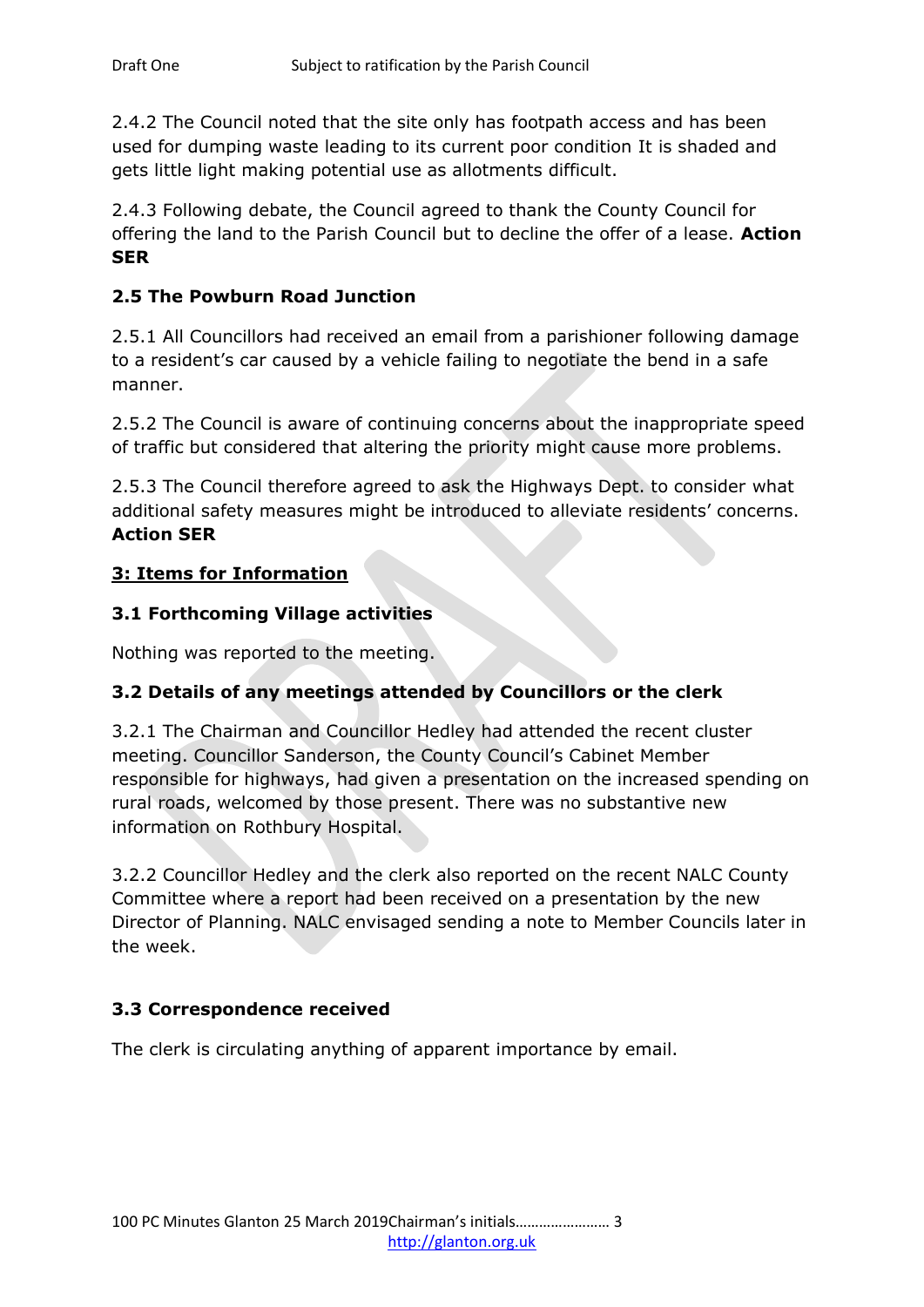2.4.2 The Council noted that the site only has footpath access and has been used for dumping waste leading to its current poor condition It is shaded and gets little light making potential use as allotments difficult.

2.4.3 Following debate, the Council agreed to thank the County Council for offering the land to the Parish Council but to decline the offer of a lease. **Action SER**

### **2.5 The Powburn Road Junction**

2.5.1 All Councillors had received an email from a parishioner following damage to a resident's car caused by a vehicle failing to negotiate the bend in a safe manner.

2.5.2 The Council is aware of continuing concerns about the inappropriate speed of traffic but considered that altering the priority might cause more problems.

2.5.3 The Council therefore agreed to ask the Highways Dept. to consider what additional safety measures might be introduced to alleviate residents' concerns. **Action SER**

#### **3: Items for Information**

#### **3.1 Forthcoming Village activities**

Nothing was reported to the meeting.

## **3.2 Details of any meetings attended by Councillors or the clerk**

3.2.1 The Chairman and Councillor Hedley had attended the recent cluster meeting. Councillor Sanderson, the County Council's Cabinet Member responsible for highways, had given a presentation on the increased spending on rural roads, welcomed by those present. There was no substantive new information on Rothbury Hospital.

3.2.2 Councillor Hedley and the clerk also reported on the recent NALC County Committee where a report had been received on a presentation by the new Director of Planning. NALC envisaged sending a note to Member Councils later in the week.

#### **3.3 Correspondence received**

The clerk is circulating anything of apparent importance by email.